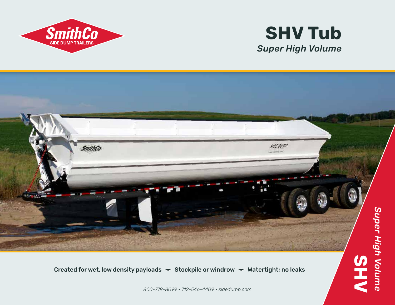

## *Super High Volume* **SHV Tub**



Created for wet, low density payloads  $\rightarrow$  Stockpile or windrow  $\rightarrow$  Watertight; no leaks

*800-779-8099 • 712-546-4409 • sidedump.com*